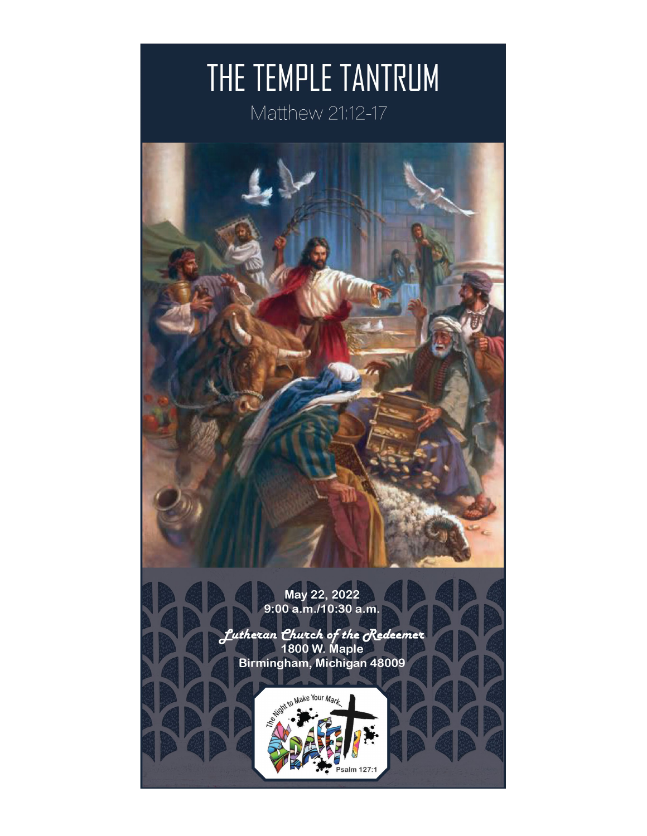# THE TEMPLE TANTRUM

Matthew 21:12-17

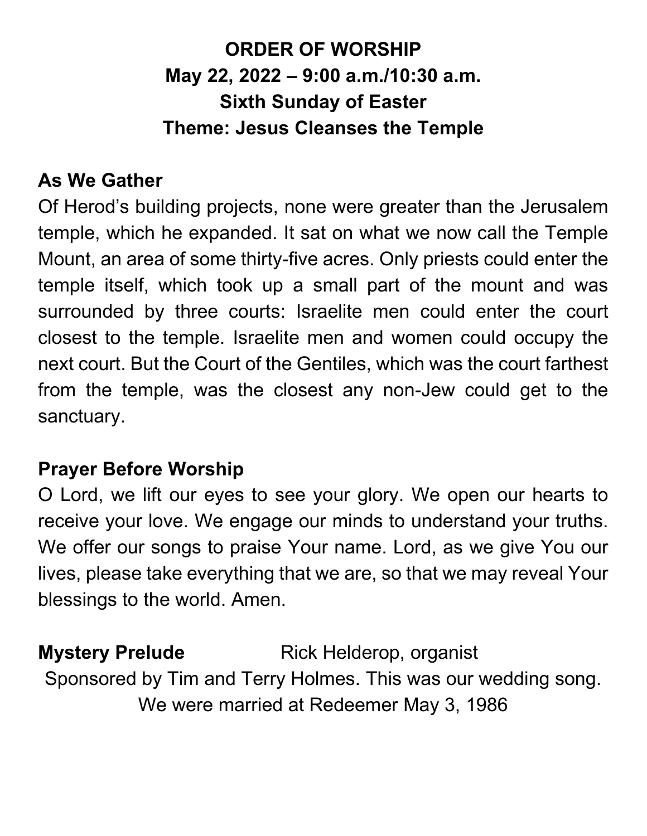### **ORDER OF WORSHIP May 22, 2022 – 9:00 a.m./10:30 a.m. Sixth Sunday of Easter Theme: Jesus Cleanses the Temple**

#### **As We Gather**

Of Herod's building projects, none were greater than the Jerusalem temple, which he expanded. It sat on what we now call the Temple Mount, an area of some thirty-five acres. Only priests could enter the temple itself, which took up a small part of the mount and was surrounded by three courts: Israelite men could enter the court closest to the temple. Israelite men and women could occupy the next court. But the Court of the Gentiles, which was the court farthest from the temple, was the closest any non-Jew could get to the sanctuary.

#### **Prayer Before Worship**

O Lord, we lift our eyes to see your glory. We open our hearts to receive your love. We engage our minds to understand your truths. We offer our songs to praise Your name. Lord, as we give You our lives, please take everything that we are, so that we may reveal Your blessings to the world. Amen.

**Mystery Prelude** Rick Helderop, organist Sponsored by Tim and Terry Holmes. This was our wedding song. We were married at Redeemer May 3, 1986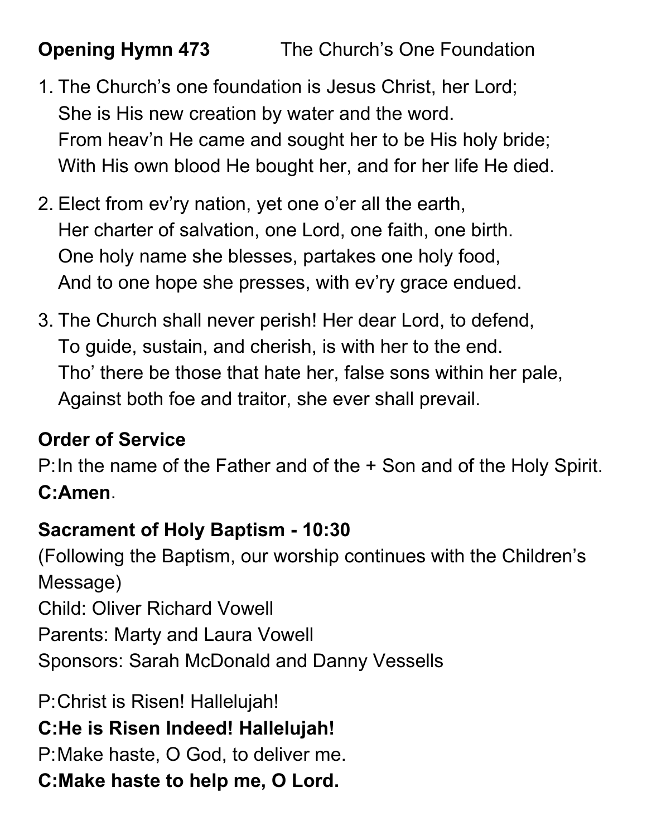- 1. The Church's one foundation is Jesus Christ, her Lord; She is His new creation by water and the word. From heav'n He came and sought her to be His holy bride; With His own blood He bought her, and for her life He died.
- 2. Elect from ev'ry nation, yet one o'er all the earth, Her charter of salvation, one Lord, one faith, one birth. One holy name she blesses, partakes one holy food, And to one hope she presses, with ev'ry grace endued.
- 3. The Church shall never perish! Her dear Lord, to defend, To guide, sustain, and cherish, is with her to the end. Tho' there be those that hate her, false sons within her pale, Against both foe and traitor, she ever shall prevail.

### **Order of Service**

P:In the name of the Father and of the + Son and of the Holy Spirit. **C:Amen**.

#### **Sacrament of Holy Baptism - 10:30**

(Following the Baptism, our worship continues with the Children's Message) Child: Oliver Richard Vowell Parents: Marty and Laura Vowell Sponsors: Sarah McDonald and Danny Vessells

P:Christ is Risen! Hallelujah! **C:He is Risen Indeed! Hallelujah!** P:Make haste, O God, to deliver me. **C:Make haste to help me, O Lord.**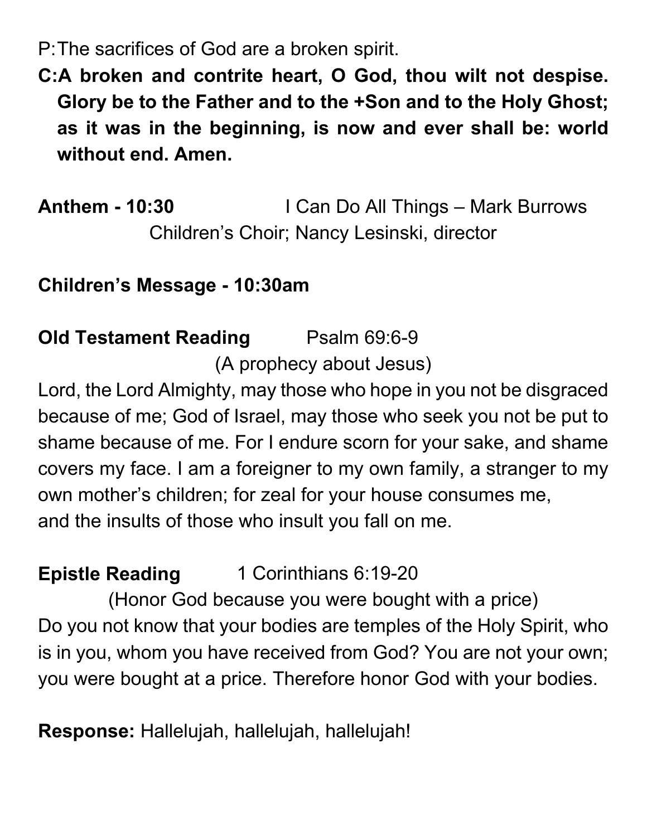P:The sacrifices of God are a broken spirit.

**C:A broken and contrite heart, O God, thou wilt not despise. Glory be to the Father and to the +Son and to the Holy Ghost; as it was in the beginning, is now and ever shall be: world without end. Amen.**

**Anthem - 10:30** I Can Do All Things – Mark Burrows Children's Choir; Nancy Lesinski, director

**Children's Message - 10:30am** 

#### **Old Testament Reading Psalm 69:6-9** (A prophecy about Jesus)

Lord, the Lord Almighty, may those who hope in you not be disgraced because of me; God of Israel, may those who seek you not be put to shame because of me. For I endure scorn for your sake, and shame covers my face. I am a foreigner to my own family, a stranger to my own mother's children; for zeal for your house consumes me, and the insults of those who insult you fall on me.

#### **Epistle Reading** 1 Corinthians 6:19-20

(Honor God because you were bought with a price) Do you not know that your bodies are temples of the Holy Spirit, who is in you, whom you have received from God? You are not your own; you were bought at a price. Therefore honor God with your bodies.

**Response:** Hallelujah, hallelujah, hallelujah!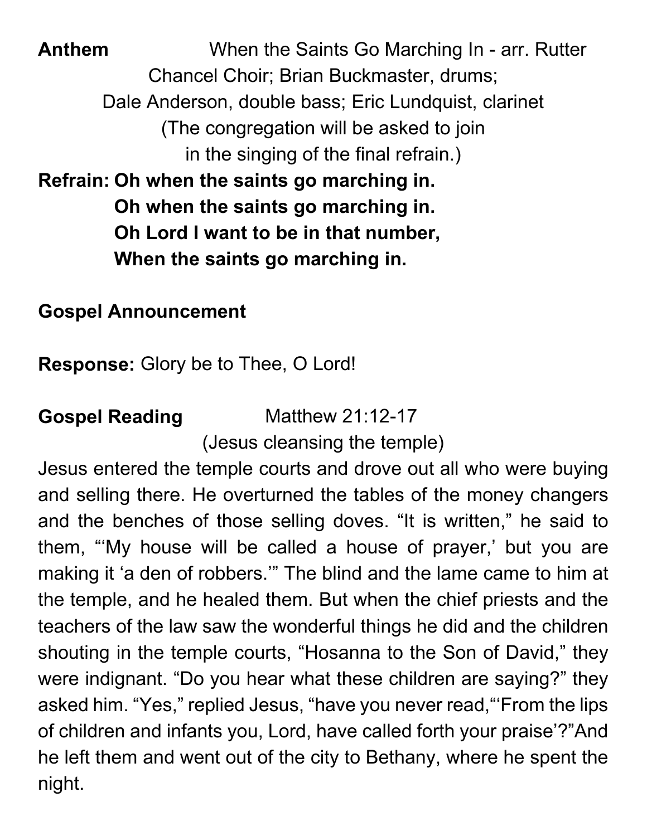**Anthem** When the Saints Go Marching In - arr. Rutter Chancel Choir; Brian Buckmaster, drums; Dale Anderson, double bass; Eric Lundquist, clarinet (The congregation will be asked to join in the singing of the final refrain.) **Refrain: Oh when the saints go marching in. Oh when the saints go marching in. Oh Lord I want to be in that number, When the saints go marching in.**

**Gospel Announcement**

**Response:** Glory be to Thee, O Lord!

**Gospel Reading** Matthew 21:12-17 (Jesus cleansing the temple)

Jesus entered the temple courts and drove out all who were buying and selling there. He overturned the tables of the money changers and the benches of those selling doves. "It is written," he said to them, "'My house will be called a house of prayer,' but you are making it 'a den of robbers.'" The blind and the lame came to him at the temple, and he healed them. But when the chief priests and the teachers of the law saw the wonderful things he did and the children shouting in the temple courts, "Hosanna to the Son of David," they were indignant. "Do you hear what these children are saying?" they asked him. "Yes," replied Jesus, "have you never read,"'From the lips of children and infants you, Lord, have called forth your praise'?"And he left them and went out of the city to Bethany, where he spent the night.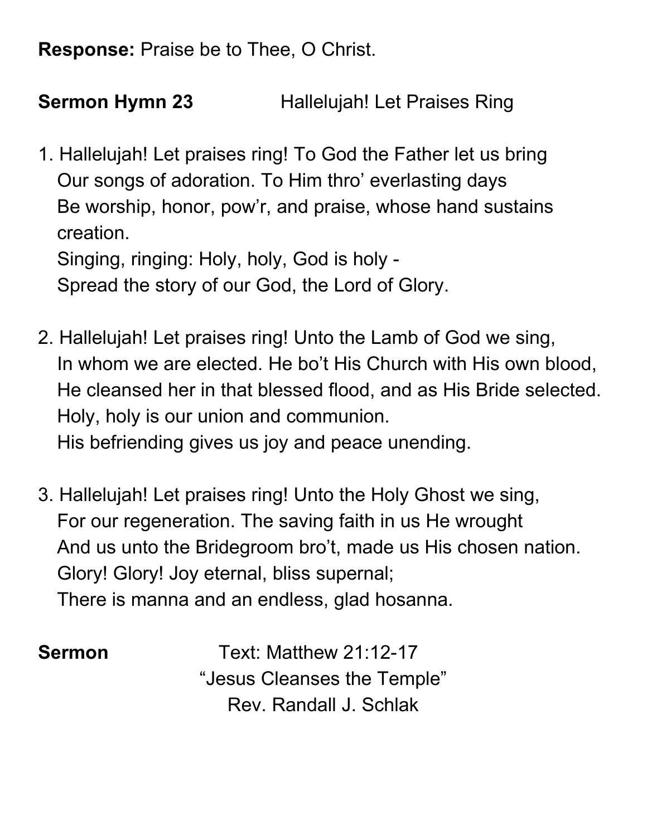**Response:** Praise be to Thee, O Christ.

**Sermon Hymn 23** Hallelujah! Let Praises Ring

1. Hallelujah! Let praises ring! To God the Father let us bring Our songs of adoration. To Him thro' everlasting days Be worship, honor, pow'r, and praise, whose hand sustains creation. Singing, ringing: Holy, holy, God is holy -

Spread the story of our God, the Lord of Glory.

- 2. Hallelujah! Let praises ring! Unto the Lamb of God we sing, In whom we are elected. He bo't His Church with His own blood, He cleansed her in that blessed flood, and as His Bride selected. Holy, holy is our union and communion. His befriending gives us joy and peace unending.
- 3. Hallelujah! Let praises ring! Unto the Holy Ghost we sing, For our regeneration. The saving faith in us He wrought And us unto the Bridegroom bro't, made us His chosen nation. Glory! Glory! Joy eternal, bliss supernal; There is manna and an endless, glad hosanna.

**Sermon** Text: Matthew 21:12-17 "Jesus Cleanses the Temple" Rev. Randall J. Schlak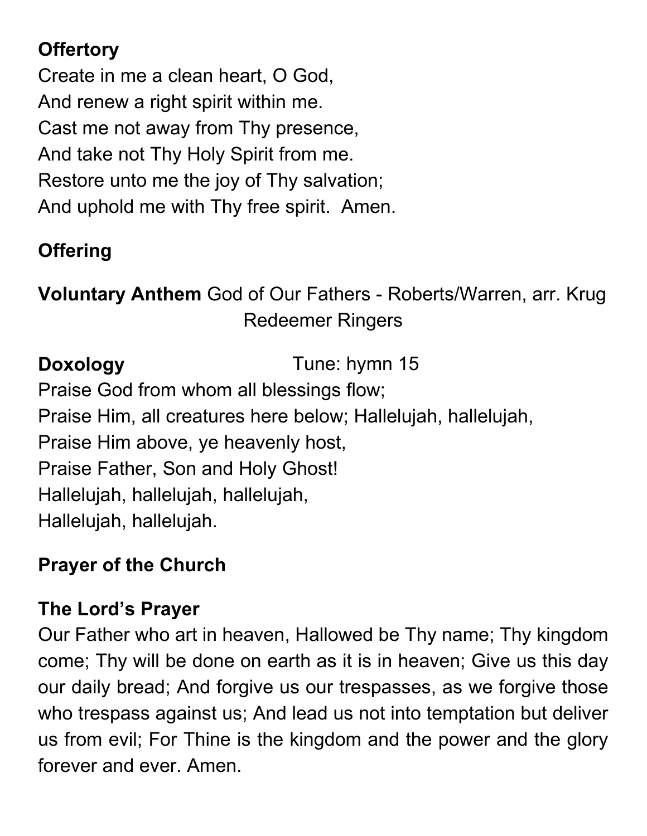### **Offertory**

Create in me a clean heart, O God, And renew a right spirit within me. Cast me not away from Thy presence, And take not Thy Holy Spirit from me. Restore unto me the joy of Thy salvation; And uphold me with Thy free spirit. Amen.

#### **Offering**

**Voluntary Anthem** God of Our Fathers - Roberts/Warren, arr. Krug Redeemer Ringers

**Doxology** Tune: hymn 15

Praise God from whom all blessings flow; Praise Him, all creatures here below; Hallelujah, hallelujah, Praise Him above, ye heavenly host, Praise Father, Son and Holy Ghost! Hallelujah, hallelujah, hallelujah, Hallelujah, hallelujah.

#### **Prayer of the Church**

#### **The Lord's Prayer**

Our Father who art in heaven, Hallowed be Thy name; Thy kingdom come; Thy will be done on earth as it is in heaven; Give us this day our daily bread; And forgive us our trespasses, as we forgive those who trespass against us; And lead us not into temptation but deliver us from evil; For Thine is the kingdom and the power and the glory forever and ever. Amen.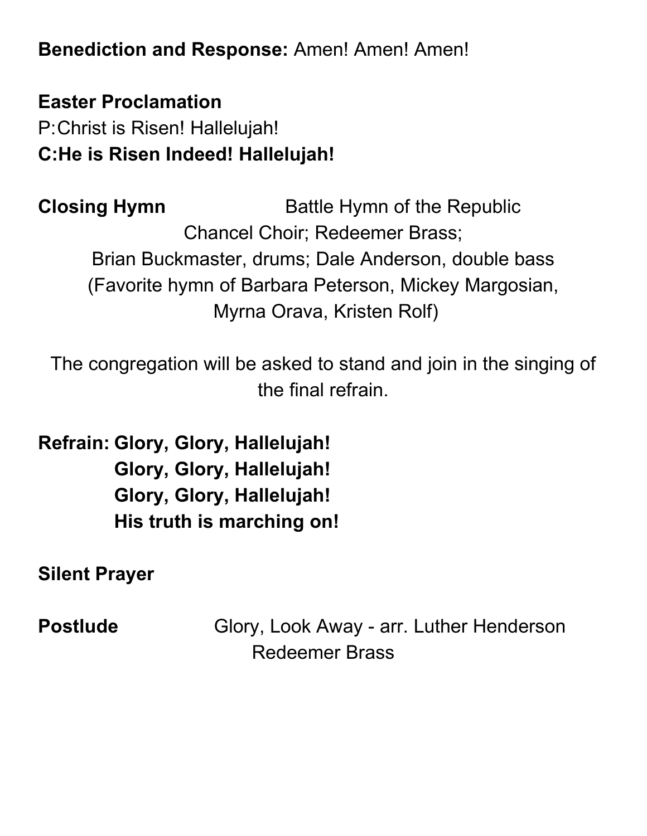**Benediction and Response:** Amen! Amen! Amen!

**Easter Proclamation** P:Christ is Risen! Hallelujah! **C:He is Risen Indeed! Hallelujah!** 

**Closing Hymn** Battle Hymn of the Republic Chancel Choir; Redeemer Brass; Brian Buckmaster, drums; Dale Anderson, double bass (Favorite hymn of Barbara Peterson, Mickey Margosian, Myrna Orava, Kristen Rolf)

The congregation will be asked to stand and join in the singing of the final refrain.

**Refrain: Glory, Glory, Hallelujah! Glory, Glory, Hallelujah! Glory, Glory, Hallelujah! His truth is marching on!**

**Silent Prayer**

**Postlude Glory, Look Away - arr. Luther Henderson** Redeemer Brass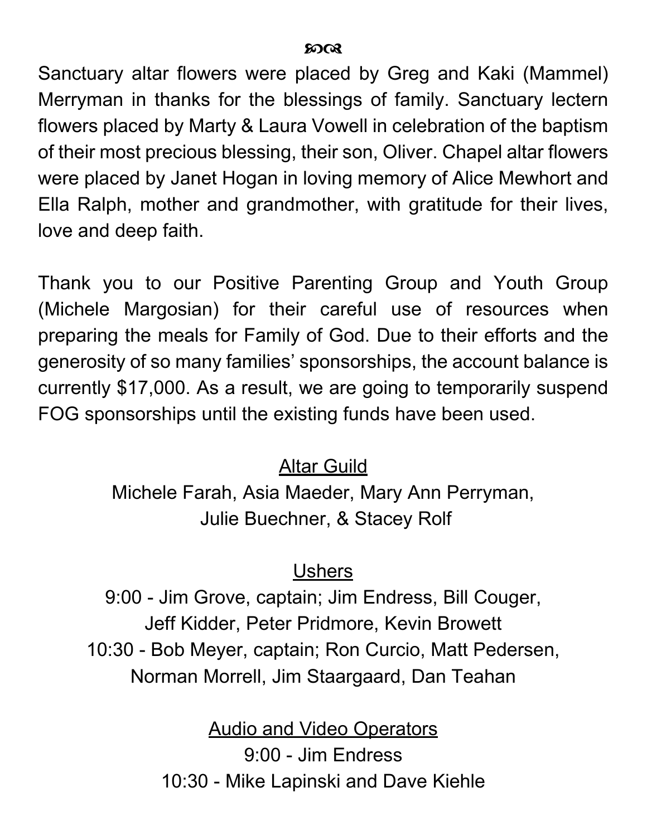Sanctuary altar flowers were placed by Greg and Kaki (Mammel) Merryman in thanks for the blessings of family. Sanctuary lectern flowers placed by Marty & Laura Vowell in celebration of the baptism of their most precious blessing, their son, Oliver. Chapel altar flowers were placed by Janet Hogan in loving memory of Alice Mewhort and Ella Ralph, mother and grandmother, with gratitude for their lives, love and deep faith.

Thank you to our Positive Parenting Group and Youth Group (Michele Margosian) for their careful use of resources when preparing the meals for Family of God. Due to their efforts and the generosity of so many families' sponsorships, the account balance is currently \$17,000. As a result, we are going to temporarily suspend FOG sponsorships until the existing funds have been used.

#### Altar Guild

Michele Farah, Asia Maeder, Mary Ann Perryman, Julie Buechner, & Stacey Rolf

#### **Ushers**

9:00 - Jim Grove, captain; Jim Endress, Bill Couger, Jeff Kidder, Peter Pridmore, Kevin Browett 10:30 - Bob Meyer, captain; Ron Curcio, Matt Pedersen, Norman Morrell, Jim Staargaard, Dan Teahan

> **Audio and Video Operators** 9:00 - Jim Endress 10:30 - Mike Lapinski and Dave Kiehle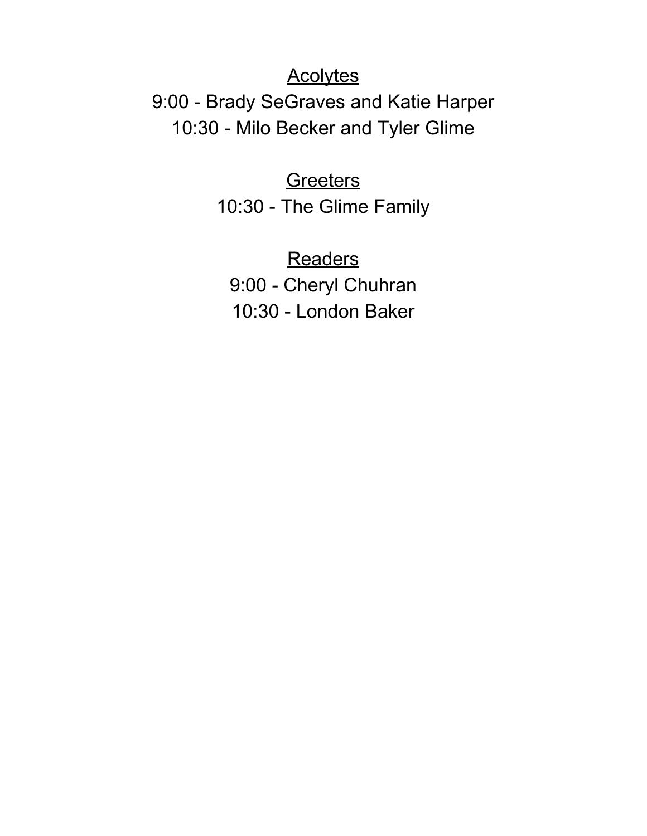#### **Acolytes**

9:00 - Brady SeGraves and Katie Harper 10:30 - Milo Becker and Tyler Glime

> **Greeters** 10:30 - The Glime Family

**Readers** 9:00 - Cheryl Chuhran 10:30 - London Baker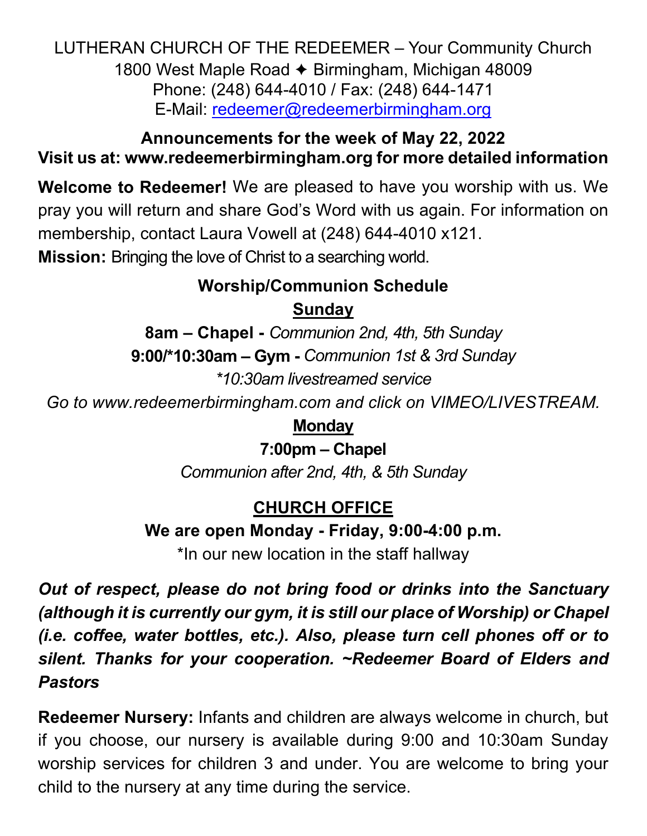LUTHERAN CHURCH OF THE REDEEMER – Your Community Church 1800 West Maple Road ✦ Birmingham, Michigan 48009 Phone: (248) 644-4010 / Fax: (248) 644-1471 E-Mail: [redeemer@redeemerbirmingham.org](mailto:redeemer@redeemerbirmingham.org)

#### **Announcements for the week of May 22, 2022 Visit us at: [www.redeemerbirmingham.org](http://www.redeemerbirmingham.org/) for more detailed information**

**Welcome to Redeemer!** We are pleased to have you worship with us. We pray you will return and share God's Word with us again. For information on membership, contact Laura Vowell at (248) 644-4010 x121.

**Mission:** Bringing the love of Christ to a searching world.

#### **Worship/Communion Schedule Sunday**

**8am – Chapel -** *Communion 2nd, 4th, 5th Sunday* **9:00/\*10:30am – Gym -** *Communion 1st & 3rd Sunday \*10:30am livestreamed service*

*Go to www.redeemerbirmingham.com and click on VIMEO/LIVESTREAM.* 

**Monday**

#### **7:00pm – Chapel**

*Communion after 2nd, 4th, & 5th Sunday* 

#### **CHURCH OFFICE**

**We are open Monday - Friday, 9:00-4:00 p.m.** 

\*In our new location in the staff hallway

*Out of respect, please do not bring food or drinks into the Sanctuary (although it is currently our gym, it is still our place of Worship) or Chapel (i.e. coffee, water bottles, etc.). Also, please turn cell phones off or to silent. Thanks for your cooperation. ~Redeemer Board of Elders and Pastors*

**Redeemer Nursery:** Infants and children are always welcome in church, but if you choose, our nursery is available during 9:00 and 10:30am Sunday worship services for children 3 and under. You are welcome to bring your child to the nursery at any time during the service.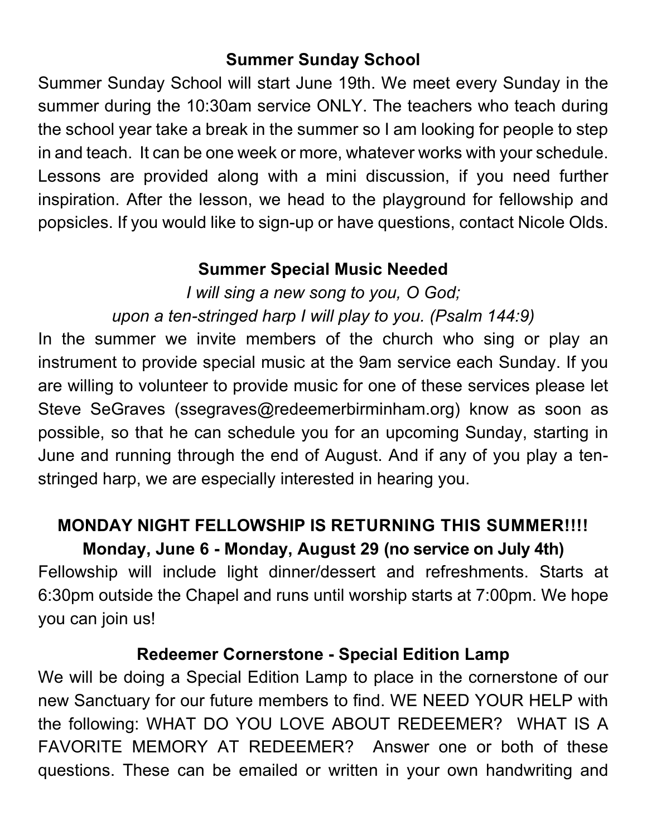#### **Summer Sunday School**

Summer Sunday School will start June 19th. We meet every Sunday in the summer during the 10:30am service ONLY. The teachers who teach during the school year take a break in the summer so I am looking for people to step in and teach. It can be one week or more, whatever works with your schedule. Lessons are provided along with a mini discussion, if you need further inspiration. After the lesson, we head to the playground for fellowship and popsicles. If you would like to sign-up or have questions, contact Nicole Olds.

#### **Summer Special Music Needed**

*I will sing a new song to you, O God; upon a ten-stringed harp I will play to you. (Psalm 144:9)*

In the summer we invite members of the church who sing or play an instrument to provide special music at the 9am service each Sunday. If you are willing to volunteer to provide music for one of these services please let Steve SeGraves (ssegraves@redeemerbirminham.org) know as soon as possible, so that he can schedule you for an upcoming Sunday, starting in June and running through the end of August. And if any of you play a tenstringed harp, we are especially interested in hearing you.

#### **MONDAY NIGHT FELLOWSHIP IS RETURNING THIS SUMMER!!!! Monday, June 6 - Monday, August 29 (no service on July 4th)**

Fellowship will include light dinner/dessert and refreshments. Starts at 6:30pm outside the Chapel and runs until worship starts at 7:00pm. We hope you can join us!

#### **Redeemer Cornerstone - Special Edition Lamp**

We will be doing a Special Edition Lamp to place in the cornerstone of our new Sanctuary for our future members to find. WE NEED YOUR HELP with the following: WHAT DO YOU LOVE ABOUT REDEEMER? WHAT IS A FAVORITE MEMORY AT REDEEMER? Answer one or both of these questions. These can be emailed or written in your own handwriting and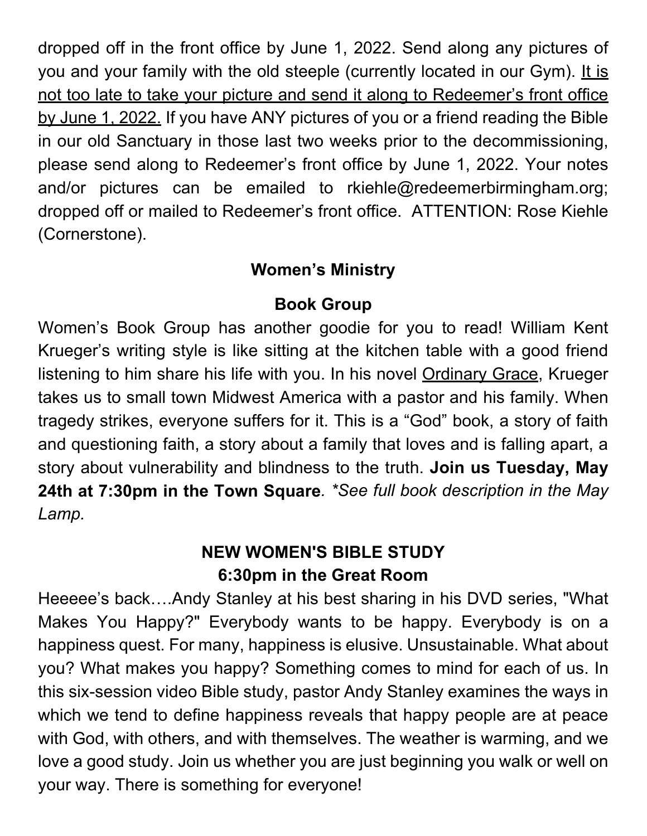dropped off in the front office by June 1, 2022. Send along any pictures of you and your family with the old steeple (currently located in our Gym). It is not too late to take your picture and send it along to Redeemer's front office by June 1, 2022. If you have ANY pictures of you or a friend reading the Bible in our old Sanctuary in those last two weeks prior to the decommissioning, please send along to Redeemer's front office by June 1, 2022. Your notes and/or pictures can be emailed to rkiehle@redeemerbirmingham.org; dropped off or mailed to Redeemer's front office. ATTENTION: Rose Kiehle (Cornerstone).

#### **Women's Ministry**

#### **Book Group**

Women's Book Group has another goodie for you to read! William Kent Krueger's writing style is like sitting at the kitchen table with a good friend listening to him share his life with you. In his novel Ordinary Grace, Krueger takes us to small town Midwest America with a pastor and his family. When tragedy strikes, everyone suffers for it. This is a "God" book, a story of faith and questioning faith, a story about a family that loves and is falling apart, a story about vulnerability and blindness to the truth. **Join us Tuesday, May 24th at 7:30pm in the Town Square***. \*See full book description in the May Lamp.* 

#### **NEW WOMEN'S BIBLE STUDY 6:30pm in the Great Room**

Heeeee's back….Andy Stanley at his best sharing in his DVD series, "What Makes You Happy?" Everybody wants to be happy. Everybody is on a happiness quest. For many, happiness is elusive. Unsustainable. What about you? What makes you happy? Something comes to mind for each of us. In this six-session video Bible study, pastor Andy Stanley examines the ways in which we tend to define happiness reveals that happy people are at peace with God, with others, and with themselves. The weather is warming, and we love a good study. Join us whether you are just beginning you walk or well on your way. There is something for everyone!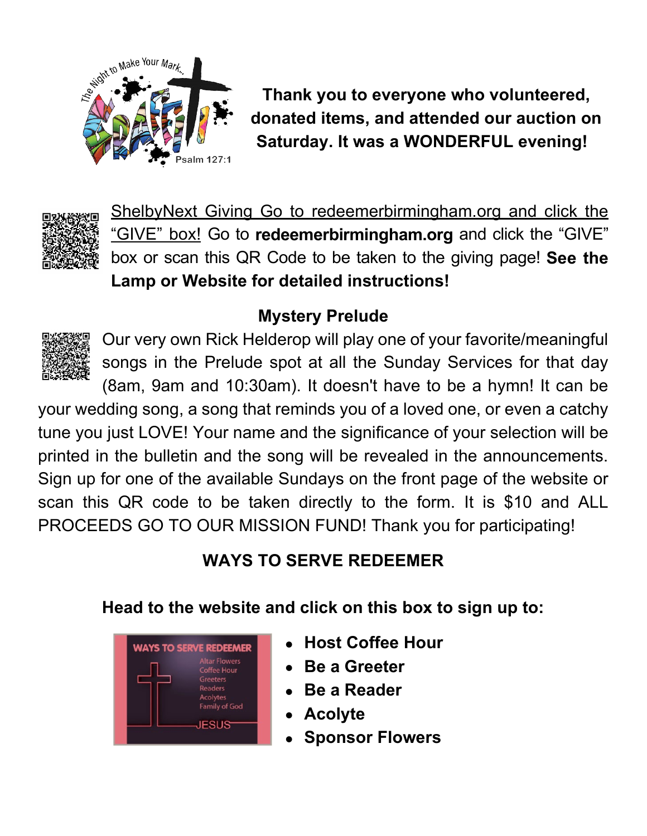

**Thank you to everyone who volunteered, donated items, and attended our auction on Saturday. It was a WONDERFUL evening!** 



ShelbyNext Giving Go to redeemerbirmingham.org and click the "GIVE" box! Go to **redeemerbirmingham.org** and click the "GIVE" box or scan this QR Code to be taken to the giving page! **See the Lamp or Website for detailed instructions!** 

#### **Mystery Prelude**



Our very own Rick Helderop will play one of your favorite/meaningful songs in the Prelude spot at all the Sunday Services for that day

(8am, 9am and 10:30am). It doesn't have to be a hymn! It can be your wedding song, a song that reminds you of a loved one, or even a catchy tune you just LOVE! Your name and the significance of your selection will be printed in the bulletin and the song will be revealed in the announcements. Sign up for one of the available Sundays on the front page of the website or scan this QR code to be taken directly to the form. It is \$10 and ALL PROCEEDS GO TO OUR MISSION FUND! Thank you for participating!

#### **WAYS TO SERVE REDEEMER**

**Head to the website and click on this box to sign up to:** 



- **Host Coffee Hour**
- **Be a Greeter**
- **Be a Reader**
- **Acolyte**
- **Sponsor Flowers**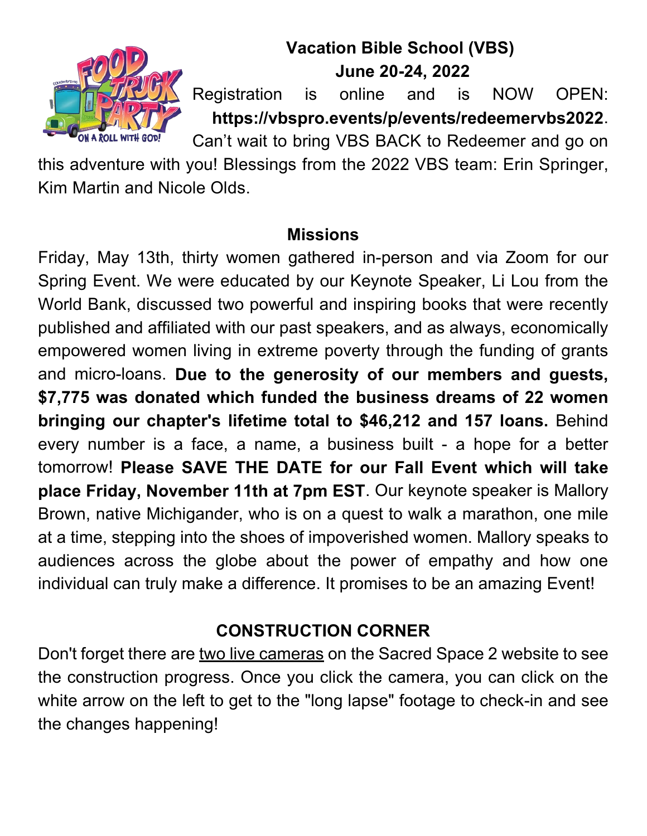

#### **Vacation Bible School (VBS) June 20-24, 2022**

Registration is online and is NOW OPEN: **https://vbspro.events/p/events/redeemervbs2022**.

Can't wait to bring VBS BACK to Redeemer and go on

this adventure with you! Blessings from the 2022 VBS team: Erin Springer, Kim Martin and Nicole Olds.

#### **Missions**

Friday, May 13th, thirty women gathered in-person and via Zoom for our Spring Event. We were educated by our Keynote Speaker, Li Lou from the World Bank, discussed two powerful and inspiring books that were recently published and affiliated with our past speakers, and as always, economically empowered women living in extreme poverty through the funding of grants and micro-loans. **Due to the generosity of our members and guests, \$7,775 was donated which funded the business dreams of 22 women bringing our chapter's lifetime total to \$46,212 and 157 loans.** Behind every number is a face, a name, a business built - a hope for a better tomorrow! **Please SAVE THE DATE for our Fall Event which will take place Friday, November 11th at 7pm EST**. Our keynote speaker is Mallory Brown, native Michigander, who is on a quest to walk a marathon, one mile at a time, stepping into the shoes of impoverished women. Mallory speaks to audiences across the globe about the power of empathy and how one individual can truly make a difference. It promises to be an amazing Event!

#### **CONSTRUCTION CORNER**

Don't forget there are two live cameras on the Sacred Space 2 website to see the construction progress. Once you click the camera, you can click on the white arrow on the left to get to the "long lapse" footage to check-in and see the changes happening!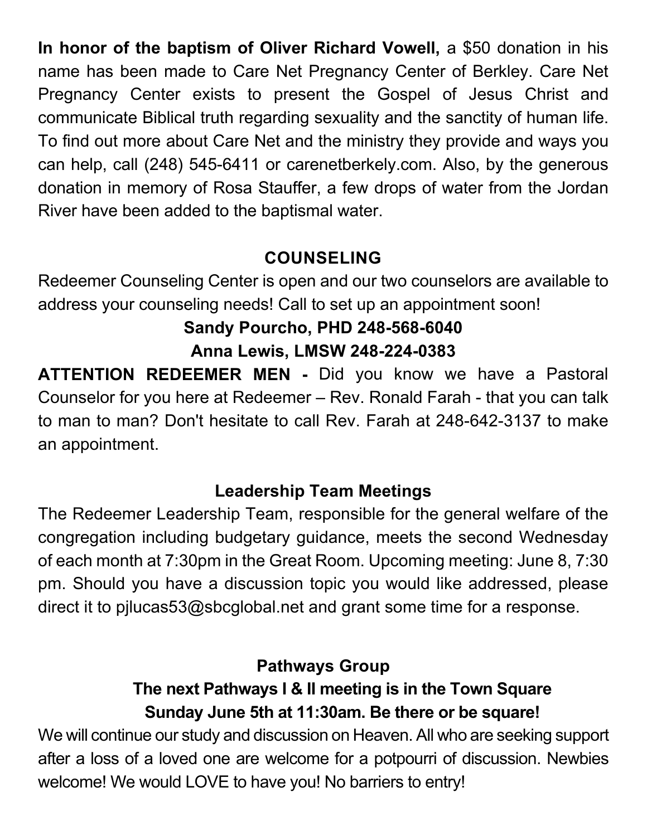**In honor of the baptism of Oliver Richard Vowell,** a \$50 donation in his name has been made to Care Net Pregnancy Center of Berkley. Care Net Pregnancy Center exists to present the Gospel of Jesus Christ and communicate Biblical truth regarding sexuality and the sanctity of human life. To find out more about Care Net and the ministry they provide and ways you can help, call (248) 545-6411 or carenetberkely.com. Also, by the generous donation in memory of Rosa Stauffer, a few drops of water from the Jordan River have been added to the baptismal water.

#### **COUNSELING**

Redeemer Counseling Center is open and our two counselors are available to address your counseling needs! Call to set up an appointment soon!

# **Sandy Pourcho, PHD 248-568-6040**

**Anna Lewis, LMSW 248-224-0383**

**ATTENTION REDEEMER MEN -** Did you know we have a Pastoral Counselor for you here at Redeemer – Rev. Ronald Farah - that you can talk to man to man? Don't hesitate to call Rev. Farah at 248-642-3137 to make an appointment.

#### **Leadership Team Meetings**

The Redeemer Leadership Team, responsible for the general welfare of the congregation including budgetary guidance, meets the second Wednesday of each month at 7:30pm in the Great Room. Upcoming meeting: June 8, 7:30 pm. Should you have a discussion topic you would like addressed, please direct it to pjlucas53@sbcglobal.net and grant some time for a response.

#### **Pathways Group**

#### **The next Pathways I & II meeting is in the Town Square Sunday June 5th at 11:30am. Be there or be square!**

We will continue our study and discussion on Heaven. All who are seeking support after a loss of a loved one are welcome for a potpourri of discussion. Newbies welcome! We would LOVE to have you! No barriers to entry!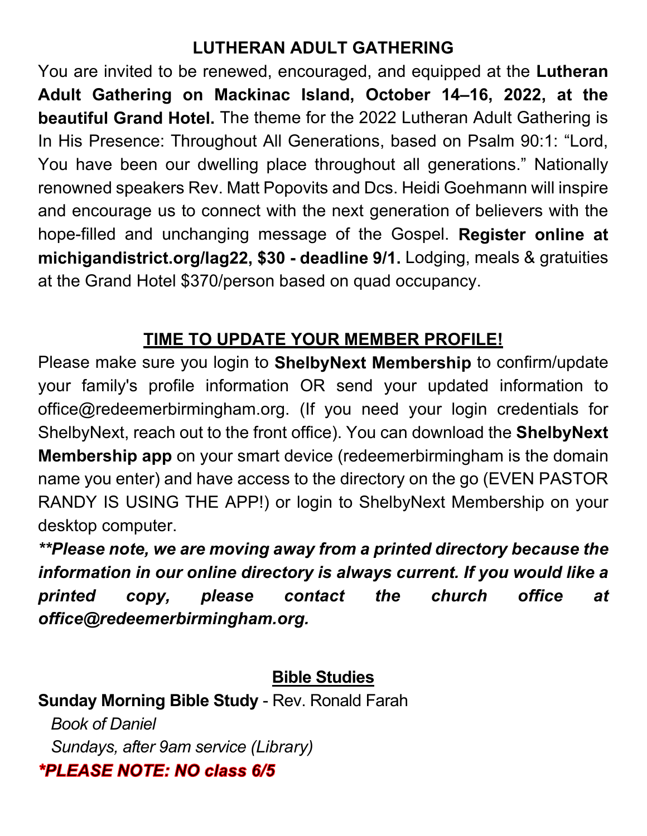#### **LUTHERAN ADULT GATHERING**

You are invited to be renewed, encouraged, and equipped at the **Lutheran Adult Gathering on Mackinac Island, October 14–16, 2022, at the beautiful Grand Hotel.** The theme for the 2022 Lutheran Adult Gathering is In His Presence: Throughout All Generations, based on Psalm 90:1: "Lord, You have been our dwelling place throughout all generations." Nationally renowned speakers Rev. Matt Popovits and Dcs. Heidi Goehmann will inspire and encourage us to connect with the next generation of believers with the hope-filled and unchanging message of the Gospel. **Register online at michigandistrict.org/lag22, \$30 - deadline 9/1.** Lodging, meals & gratuities at the Grand Hotel \$370/person based on quad occupancy.

#### **TIME TO UPDATE YOUR MEMBER PROFILE!**

Please make sure you login to **ShelbyNext Membership** to confirm/update your family's profile information OR send your updated information to office@redeemerbirmingham.org. (If you need your login credentials for ShelbyNext, reach out to the front office). You can download the **ShelbyNext Membership app** on your smart device (redeemerbirmingham is the domain name you enter) and have access to the directory on the go (EVEN PASTOR RANDY IS USING THE APP!) or login to ShelbyNext Membership on your desktop computer.

*\*\*Please note, we are moving away from a printed directory because the information in our online directory is always current. If you would like a printed copy, please contact the church office at office@redeemerbirmingham.org.*

**Bible Studies**

**Sunday Morning Bible Study** - Rev. Ronald Farah *Book of Daniel Sundays, after 9am service (Library)*\*PLEASE NOTE: NO class 6/5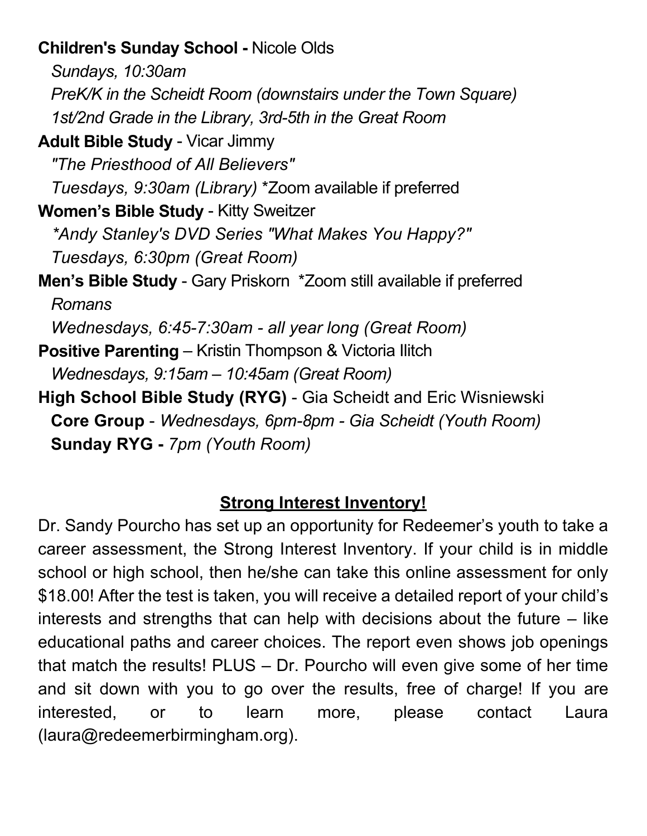#### **Children's Sunday School -** Nicole Olds

*Sundays, 10:30am PreK/K in the Scheidt Room (downstairs under the Town Square) 1st/2nd Grade in the Library, 3rd-5th in the Great Room*

**Adult Bible Study** - Vicar Jimmy

 *"The Priesthood of All Believers"*

 *Tuesdays, 9:30am (Library)* \*Zoom available if preferred

**Women's Bible Study** - Kitty Sweitzer

 *\*Andy Stanley's DVD Series "What Makes You Happy?"* 

 *Tuesdays, 6:30pm (Great Room)* 

**Men's Bible Study** - Gary Priskorn \*Zoom still available if preferred *Romans*

*Wednesdays, 6:45-7:30am - all year long (Great Room)* 

- **Positive Parenting**  Kristin Thompson & Victoria Ilitch *Wednesdays, 9:15am – 10:45am (Great Room)*
- **High School Bible Study (RYG)** Gia Scheidt and Eric Wisniewski **Core Group** - *Wednesdays, 6pm-8pm - Gia Scheidt (Youth Room)* **Sunday RYG -** *7pm (Youth Room)*

#### **Strong Interest Inventory!**

Dr. Sandy Pourcho has set up an opportunity for Redeemer's youth to take a career assessment, the Strong Interest Inventory. If your child is in middle school or high school, then he/she can take this online assessment for only \$18.00! After the test is taken, you will receive a detailed report of your child's interests and strengths that can help with decisions about the future  $-$  like educational paths and career choices. The report even shows job openings that match the results! PLUS – Dr. Pourcho will even give some of her time and sit down with you to go over the results, free of charge! If you are interested, or to learn more, please contact Laura (laura@redeemerbirmingham.org).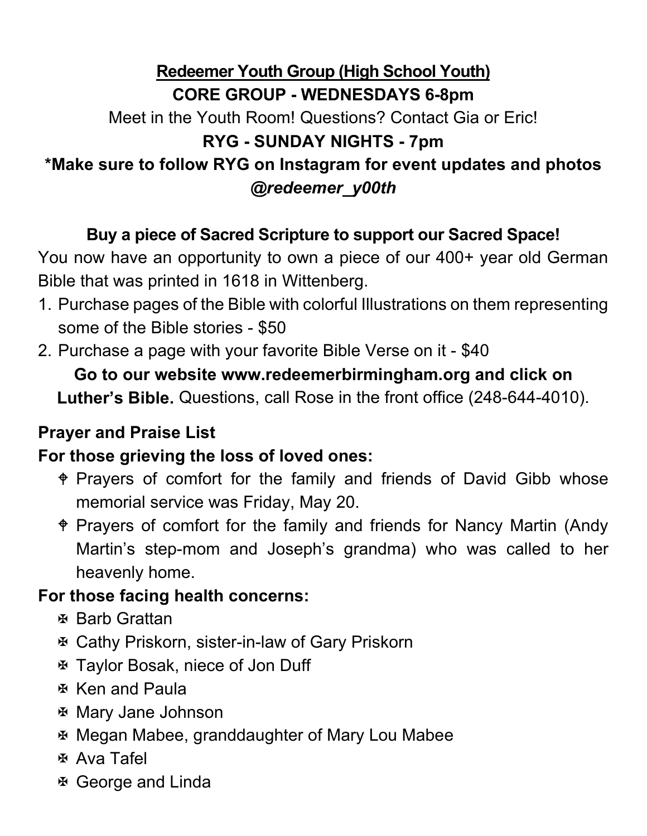#### **Redeemer Youth Group (High School Youth) CORE GROUP - WEDNESDAYS 6-8pm** Meet in the Youth Room! Questions? Contact Gia or Eric! **RYG - SUNDAY NIGHTS - 7pm \*Make sure to follow RYG on Instagram for event updates and photos**  *@redeemer\_y00th*

#### **Buy a piece of Sacred Scripture to support our Sacred Space!**

You now have an opportunity to own a piece of our 400+ year old German Bible that was printed in 1618 in Wittenberg.

- 1. Purchase pages of the Bible with colorful Illustrations on them representing some of the Bible stories - \$50
- 2. Purchase a page with your favorite Bible Verse on it \$40

## **Go to our website www.redeemerbirmingham.org and click on**

**Luther's Bible.** Questions, call Rose in the front office (248-644-4010).

#### **Prayer and Praise List**

#### **For those grieving the loss of loved ones:**

- Prayers of comfort for the family and friends of David Gibb whose memorial service was Friday, May 20.
- Prayers of comfort for the family and friends for Nancy Martin (Andy Martin's step-mom and Joseph's grandma) who was called to her heavenly home.

#### **For those facing health concerns:**

- Barb Grattan
- Cathy Priskorn, sister-in-law of Gary Priskorn
- Taylor Bosak, niece of Jon Duff
- **Ken and Paula**
- Mary Jane Johnson
- Megan Mabee, granddaughter of Mary Lou Mabee
- Ava Tafel
- George and Linda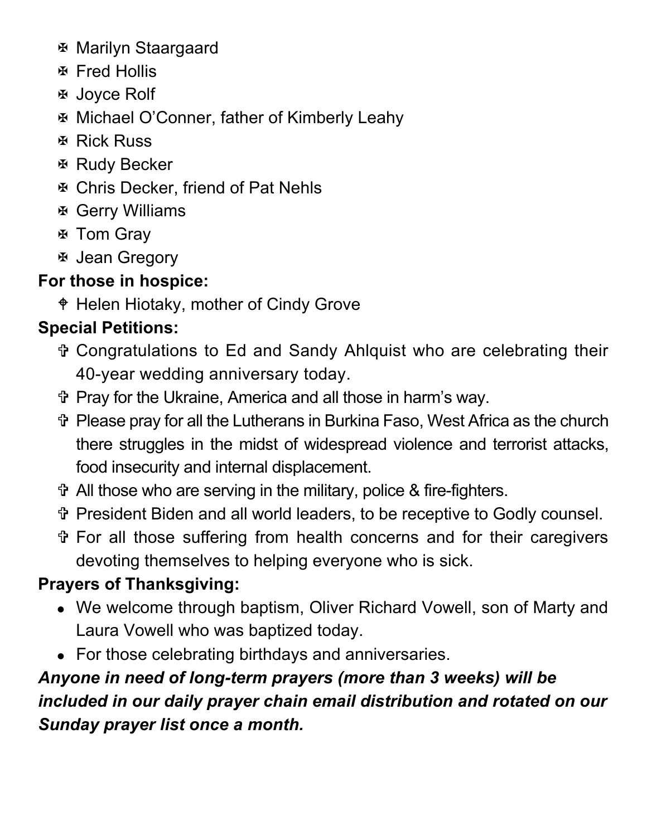- Marilyn Staargaard
- Fred Hollis
- Joyce Rolf
- Michael O'Conner, father of Kimberly Leahy
- $\Phi$  **Rick Russ**
- $\Phi$  **Rudy Becker**
- Chris Decker, friend of Pat Nehls
- Gerry Williams
- Tom Gray
- Jean Gregory

#### **For those in hospice:**

Helen Hiotaky, mother of Cindy Grove

#### **Special Petitions:**

- Congratulations to Ed and Sandy Ahlquist who are celebrating their 40-year wedding anniversary today.
- Pray for the Ukraine, America and all those in harm's way.
- Please pray for all the Lutherans in Burkina Faso, West Africa as the church there struggles in the midst of widespread violence and terrorist attacks, food insecurity and internal displacement.
- All those who are serving in the military, police & fire-fighters.
- President Biden and all world leaders, to be receptive to Godly counsel.
- For all those suffering from health concerns and for their caregivers devoting themselves to helping everyone who is sick.

#### **Prayers of Thanksgiving:**

- We welcome through baptism, Oliver Richard Vowell, son of Marty and Laura Vowell who was baptized today.
- For those celebrating birthdays and anniversaries.

#### *Anyone in need of long-term prayers (more than 3 weeks) will be included in our daily prayer chain email distribution and rotated on our Sunday prayer list once a month.*